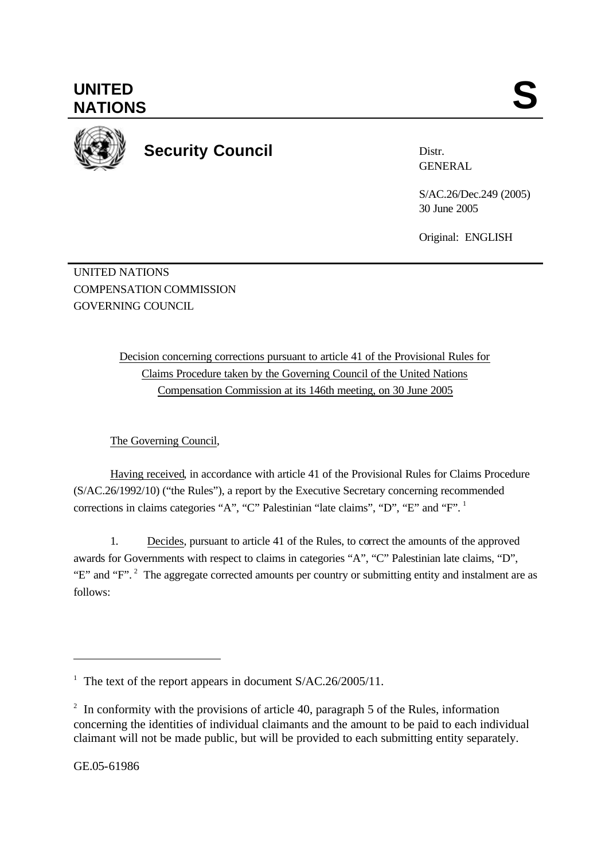

**Security Council**

Distr. GENERAL

S/AC.26/Dec.249 (2005) 30 June 2005

Original: ENGLISH

UNITED NATIONS COMPENSATION COMMISSION GOVERNING COUNCIL

> Decision concerning corrections pursuant to article 41 of the Provisional Rules for Claims Procedure taken by the Governing Council of the United Nations Compensation Commission at its 146th meeting, on 30 June 2005

The Governing Council,

Having received, in accordance with article 41 of the Provisional Rules for Claims Procedure (S/AC.26/1992/10) ("the Rules"), a report by the Executive Secretary concerning recommended corrections in claims categories "A", "C" Palestinian "late claims", "D", "E" and "F". <sup>1</sup>

1. Decides, pursuant to article 41 of the Rules, to correct the amounts of the approved awards for Governments with respect to claims in categories "A", "C" Palestinian late claims, "D", "E" and "F".  $2$  The aggregate corrected amounts per country or submitting entity and instalment are as follows:

GE.05-61986

l

<sup>&</sup>lt;sup>1</sup> The text of the report appears in document S/AC.26/2005/11.

 $2\;\;$  In conformity with the provisions of article 40, paragraph 5 of the Rules, information concerning the identities of individual claimants and the amount to be paid to each individual claimant will not be made public, but will be provided to each submitting entity separately.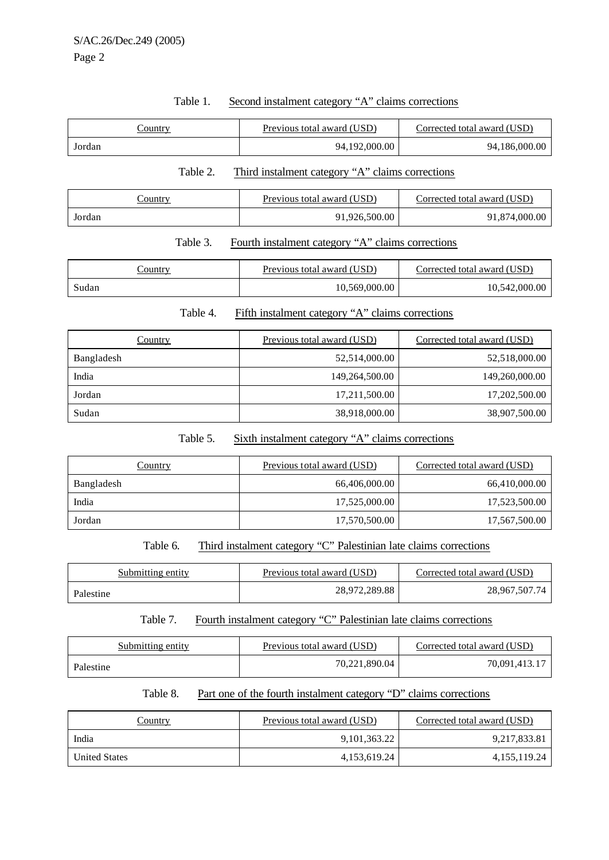| Country                                                      | Previous total award (USD)                        | Corrected total award (USD) |
|--------------------------------------------------------------|---------------------------------------------------|-----------------------------|
| Jordan                                                       | 94,192,000.00                                     | 94,186,000.00               |
| Table 2.                                                     | Third instalment category "A" claims corrections  |                             |
| <b>Country</b>                                               | Previous total award (USD)                        | Corrected total award (USD) |
| Jordan                                                       | 91,926,500.00                                     | 91,874,000.00               |
| Table 3.                                                     | Fourth instalment category "A" claims corrections |                             |
| <b>Country</b>                                               | Previous total award (USD)                        | Corrected total award (USD) |
| Sudan                                                        | 10,569,000.00                                     | 10,542,000.00               |
| Table 4.<br>Fifth instalment category "A" claims corrections |                                                   |                             |
| <b>Country</b>                                               | Previous total award (USD)                        | Corrected total award (USD) |
| Bangladesh                                                   | 52,514,000.00                                     | 52,518,000.00               |
| India                                                        | 149,264,500.00                                    | 149,260,000.00              |
| Jordan                                                       | 17,211,500.00                                     | 17,202,500.00               |
| Sudan                                                        | 38,918,000.00                                     | 38,907,500.00               |
| Table 5.                                                     | Sixth instalment category "A" claims corrections  |                             |

### Table 1. Second instalment category "A" claims corrections

| Country    | Previous total award (USD) | Corrected total award (USD) |
|------------|----------------------------|-----------------------------|
| Bangladesh | 66,406,000.00              | 66,410,000.00               |
| India      | 17,525,000.00              | 17,523,500.00               |
| Jordan     | 17,570,500.00              | 17,567,500.00               |

Table 6. Third instalment category "C" Palestinian late claims corrections

| Submitting entity | Previous total award (USD) | Corrected total award (USD) |
|-------------------|----------------------------|-----------------------------|
| Palestine         | 28,972,289.88              | 28.967.507.74               |

### Table 7. Fourth instalment category "C" Palestinian late claims corrections

| Submitting entity | Previous total award (USD) | Corrected total award (USD) |
|-------------------|----------------------------|-----------------------------|
| Palestine         | 70,221,890.04              | 70,091,413.17               |

### Table 8. Part one of the fourth instalment category "D" claims corrections

| Country              | Previous total award (USD) | Corrected total award (USD) |
|----------------------|----------------------------|-----------------------------|
| India                | 9,101,363.22               | 9,217,833.81                |
| <b>United States</b> | 4,153,619.24               | 4, 155, 119.24              |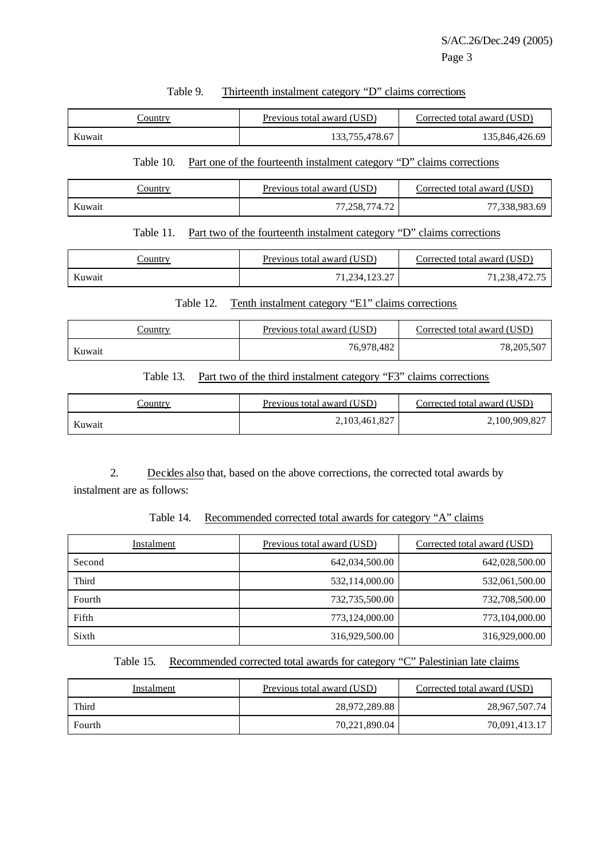S/AC.26/Dec.249 (2005) Page 3

#### Table 9. Thirteenth instalment category "D" claims corrections

| <u>Sountry</u> | Previous total award (USD) | Corrected total award (USD) |
|----------------|----------------------------|-----------------------------|
| Kuwait         | 133,755,478.67             | 135,846,426.69              |

Table 10. Part one of the fourteenth instalment category "D" claims corrections

| <u>'ountry</u> | Previous total award (USD) | Corrected total award (USD) |
|----------------|----------------------------|-----------------------------|
| Kuwait         | 77,258,774.72              | 77,338,983.69               |

### Table 11. Part two of the fourteenth instalment category "D" claims corrections

| <b>ountry</b> | Previous total award (USD) | Corrected total award (USD) |
|---------------|----------------------------|-----------------------------|
| Kuwait        | 71,234,123.27              | 71,238,472.75               |

#### Table 12. Tenth instalment category "E1" claims corrections

| `ountry | Previous total award (USD) | Corrected total award (USD) |
|---------|----------------------------|-----------------------------|
| Kuwait  | 76.978.482                 | 78,205,507                  |

### Table 13. Part two of the third instalment category "F3" claims corrections

| Country | Previous total award (USD) | Corrected total award (USD) |
|---------|----------------------------|-----------------------------|
| Kuwait  | 2, 103, 461, 827           | 2,100,909,827               |

2. Decides also that, based on the above corrections, the corrected total awards by instalment are as follows:

### Table 14. Recommended corrected total awards for category "A" claims

| Instalment | Previous total award (USD) | Corrected total award (USD) |
|------------|----------------------------|-----------------------------|
| Second     | 642,034,500.00             | 642,028,500.00              |
| Third      | 532,114,000.00             | 532,061,500.00              |
| Fourth     | 732,735,500.00             | 732,708,500.00              |
| Fifth      | 773,124,000.00             | 773,104,000.00              |
| Sixth      | 316,929,500.00             | 316,929,000.00              |

#### Table 15. Recommended corrected total awards for category "C" Palestinian late claims

| Instalment | Previous total award (USD) | Corrected total award (USD) |
|------------|----------------------------|-----------------------------|
| Third      | 28,972,289.88              | 28,967,507.74               |
| Fourth     | 70,221,890.04              | 70,091,413.17               |